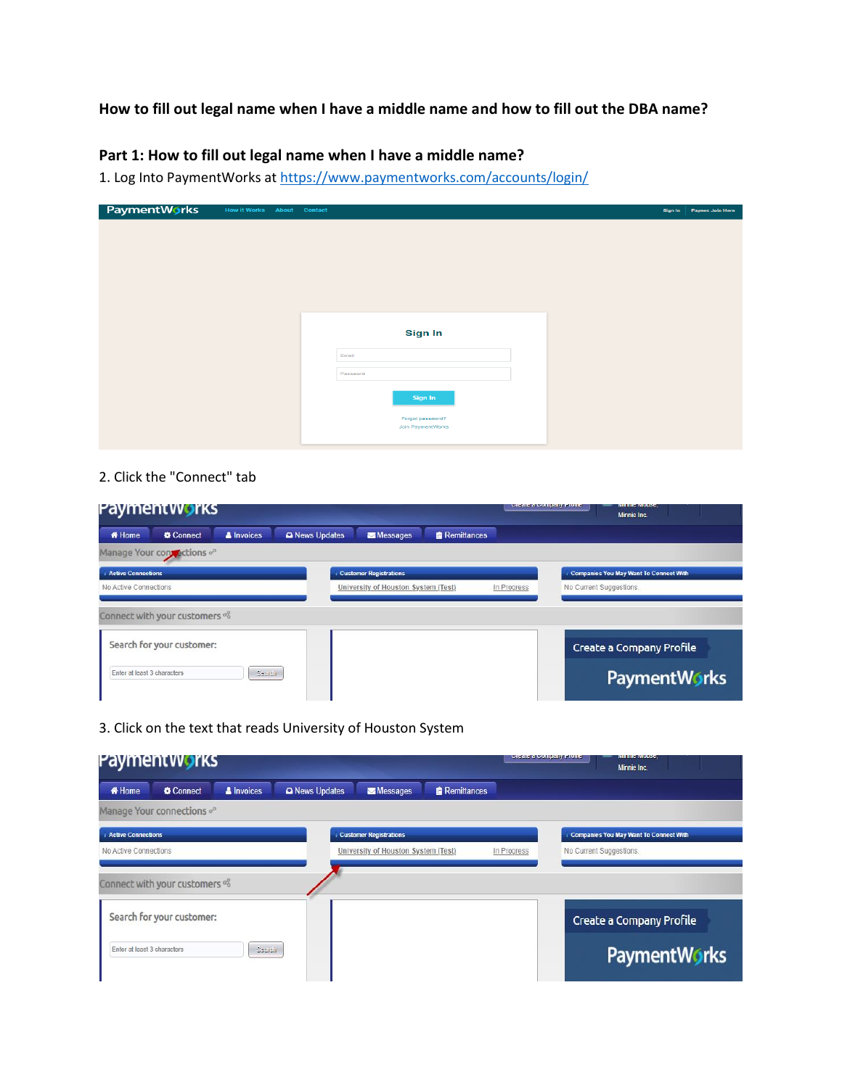# **How to fill out legal name when I have a middle name and how to fill out the DBA name?**

## **Part 1: How to fill out legal name when I have a middle name?**

1. Log Into PaymentWorks at<https://www.paymentworks.com/accounts/login/>

| PaymentWorks | <b>How it Works About Contact</b> |                   | Sign In | Payees Join Here |
|--------------|-----------------------------------|-------------------|---------|------------------|
|              |                                   |                   |         |                  |
|              |                                   |                   |         |                  |
|              |                                   |                   |         |                  |
|              |                                   |                   |         |                  |
|              |                                   |                   |         |                  |
|              |                                   |                   |         |                  |
|              |                                   |                   |         |                  |
|              |                                   | <b>Sign In</b>    |         |                  |
|              |                                   | Email             |         |                  |
|              |                                   |                   |         |                  |
|              |                                   | Password          |         |                  |
|              |                                   | Sign In           |         |                  |
|              |                                   | Forgot password?  |         |                  |
|              |                                   | Join PaymentWorks |         |                  |
|              |                                   |                   |         |                  |

## 2. Click the "Connect" tab

|                             | Payment Works                  |               |              |                                     |                    |             | create a company Frome  | <b>IVIII IHG IVIOUSG.</b><br>Minnie Inc.      |  |
|-----------------------------|--------------------------------|---------------|--------------|-------------------------------------|--------------------|-------------|-------------------------|-----------------------------------------------|--|
| <b># Home</b>               | Connect                        | & Invoices    | News Updates | Messages                            | <b>Remittances</b> |             |                         |                                               |  |
|                             | Manage Your contractions of    |               |              |                                     |                    |             |                         |                                               |  |
| <b>Active Connections</b>   |                                |               |              | <b>Customer Registrations</b>       |                    |             |                         | <b>Companies You May Want To Connect With</b> |  |
| No Active Connections       |                                |               |              | University of Houston System (Test) |                    | In Progress | No Current Suggestions. |                                               |  |
|                             | Connect with your customers of |               |              |                                     |                    |             |                         |                                               |  |
|                             | Search for your customer:      |               |              |                                     |                    |             |                         | Create a Company Profile                      |  |
| Enter at least 3 characters |                                | <b>Cearch</b> |              |                                     |                    |             |                         | <b>PaymentWorks</b>                           |  |

3. Click on the text that reads University of Houston System

|                             | Paymentworks                                                |                   |              |                                      |                    |             | <b>Cicate a Company Fronte</b> | <b>IVINHIT IVIOUSC.</b><br>Minnie Inc.        |  |
|-----------------------------|-------------------------------------------------------------|-------------------|--------------|--------------------------------------|--------------------|-------------|--------------------------------|-----------------------------------------------|--|
| <b># Home</b>               | Connect                                                     | <b>A</b> Invoices | News Updates | Messages                             | <b>Remittances</b> |             |                                |                                               |  |
|                             | Manage Your connections of                                  |                   |              |                                      |                    |             |                                |                                               |  |
| <b>Active Connections</b>   |                                                             |                   |              | <b>Customer Registrations</b>        |                    |             |                                | <b>Companies You May Want To Connect With</b> |  |
| No Active Connections       |                                                             |                   |              | University of Houston System (Test). |                    | In Progress | No Current Suggestions.        |                                               |  |
|                             | Connect with your customers of<br>Search for your customer: |                   |              |                                      |                    |             |                                | Create a Company Profile                      |  |
| Enter at least 3 characters |                                                             | Search            |              |                                      |                    |             |                                | <b>PaymentWorks</b>                           |  |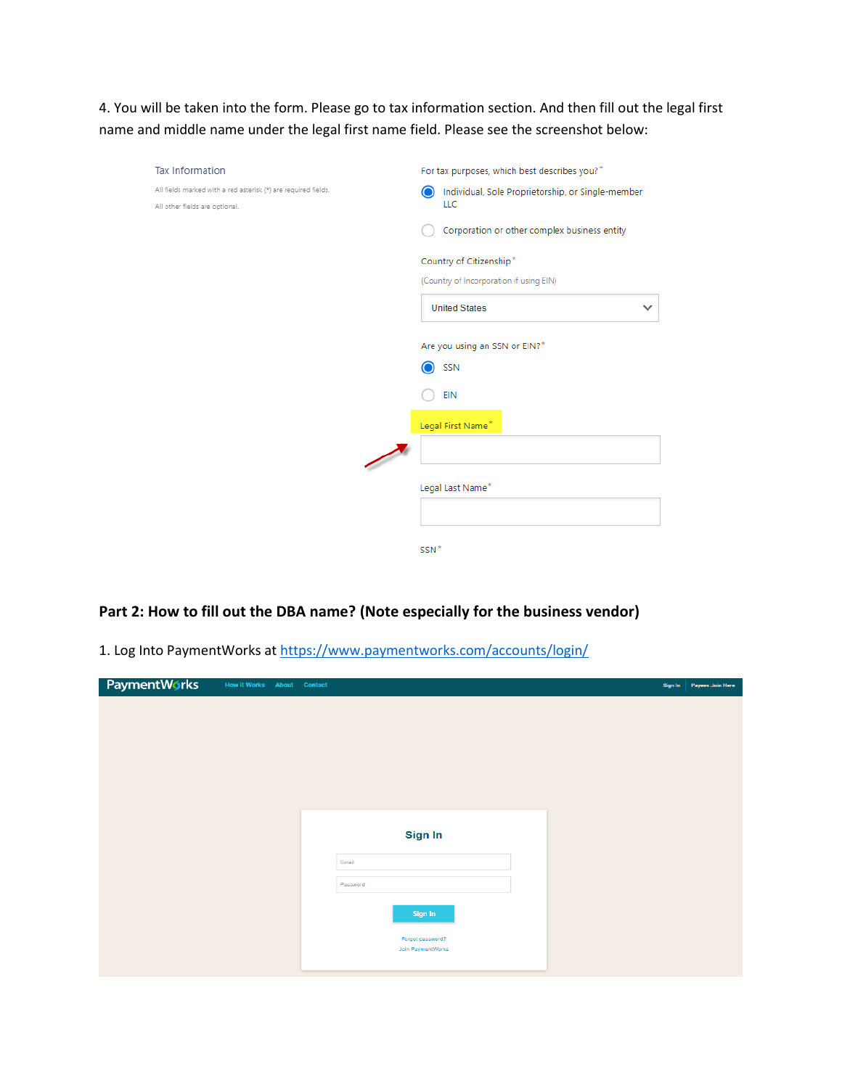4. You will be taken into the form. Please go to tax information section. And then fill out the legal first name and middle name under the legal first name field. Please see the screenshot below:

| Tax Information                                                | For tax purposes, which best describes you?"      |
|----------------------------------------------------------------|---------------------------------------------------|
| All fields marked with a red asterisk (*) are required fields. | Individual, Sole Proprietorship, or Single-member |
| All other fields are optional.                                 | LLC                                               |
|                                                                | Corporation or other complex business entity      |
|                                                                | Country of Citizenship*                           |
|                                                                | (Country of Incorporation if using EIN)           |
|                                                                | <b>United States</b>                              |
|                                                                | Are you using an SSN or EIN?*                     |
|                                                                | SSN                                               |
|                                                                | <b>EIN</b>                                        |
|                                                                | Legal First Name*                                 |
|                                                                |                                                   |
|                                                                | Legal Last Name*                                  |
|                                                                |                                                   |
|                                                                | SSN*                                              |

#### **Part 2: How to fill out the DBA name? (Note especially for the business vendor)**

1. Log Into PaymentWorks at<https://www.paymentworks.com/accounts/login/>

| PaymentWorks | <b>How it Works About Contact</b> |                   | Sign In Payees Join Here |
|--------------|-----------------------------------|-------------------|--------------------------|
|              |                                   |                   |                          |
|              |                                   |                   |                          |
|              |                                   |                   |                          |
|              |                                   |                   |                          |
|              |                                   |                   |                          |
|              |                                   |                   |                          |
|              |                                   |                   |                          |
|              |                                   | Sign In           |                          |
|              |                                   | Email             |                          |
|              |                                   |                   |                          |
|              |                                   | Password          |                          |
|              |                                   | Sign In           |                          |
|              |                                   | Forgot password?  |                          |
|              |                                   | Join PaymentWorks |                          |
|              |                                   |                   |                          |